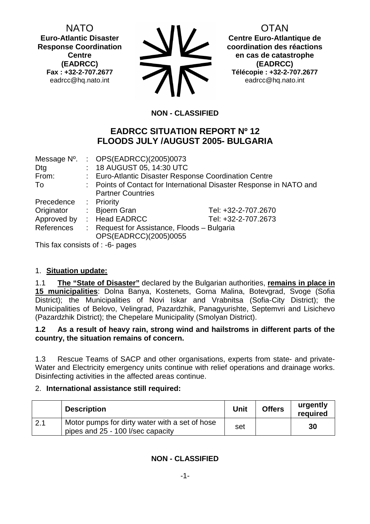NATO **Euro-Atlantic Disaster Response Coordination Centre (EADRCC) Fax : +32-2-707.2677**  eadrcc@hq.nato.int

OTAN

**Centre Euro-Atlantique de coordination des réactions en cas de catastrophe (EADRCC) Télécopie : +32-2-707.2677**  eadrcc@hq.nato.int

# **NON - CLASSIFIED**

# **EADRCC SITUATION REPORT Nº 12 FLOODS JULY /AUGUST 2005- BULGARIA**

| Message N°. | : OPS(EADRCC)(2005)0073                                              |                     |  |
|-------------|----------------------------------------------------------------------|---------------------|--|
| Dtg         | : 18 AUGUST 05, 14:30 UTC                                            |                     |  |
| From:       | : Euro-Atlantic Disaster Response Coordination Centre                |                     |  |
| To          | : Points of Contact for International Disaster Response in NATO and  |                     |  |
|             | <b>Partner Countries</b>                                             |                     |  |
| Precedence  | : Priority                                                           |                     |  |
| Originator  | : Bjoern Gran                                                        | Tel: +32-2-707.2670 |  |
| Approved by | : Head EADRCC                                                        | Tel: +32-2-707.2673 |  |
| References  | : Request for Assistance, Floods - Bulgaria<br>OPS(EADRCC)(2005)0055 |                     |  |

This fax consists of : -6- pages

## 1. **Situation update:**

1.1 **The "State of Disaster"** declared by the Bulgarian authorities, **remains in place in 15 municipalities**: Dolna Banya, Kostenets, Gorna Malina, Botevgrad, Svoge (Sofia District); the Municipalities of Novi Iskar and Vrabnitsa (Sofia-City District); the Municipalities of Belovo, Velingrad, Pazardzhik, Panagyurishte, Septemvri and Lisichevo (Pazardzhik District); the Chepelare Municipality (Smolyan District).

## **1.2 As a result of heavy rain, strong wind and hailstroms in different parts of the country, the situation remains of concern.**

1.3 Rescue Teams of SACP and other organisations, experts from state- and private-Water and Electricity emergency units continue with relief operations and drainage works. Disinfecting activities in the affected areas continue.

## 2. **International assistance still required:**

|     | <b>Description</b>                                                                  | <b>Unit</b> | <b>Offers</b> | urgently<br>required |
|-----|-------------------------------------------------------------------------------------|-------------|---------------|----------------------|
| 2.1 | Motor pumps for dirty water with a set of hose<br>pipes and 25 - 100 l/sec capacity | set         |               | 30                   |

**NON - CLASSIFIED**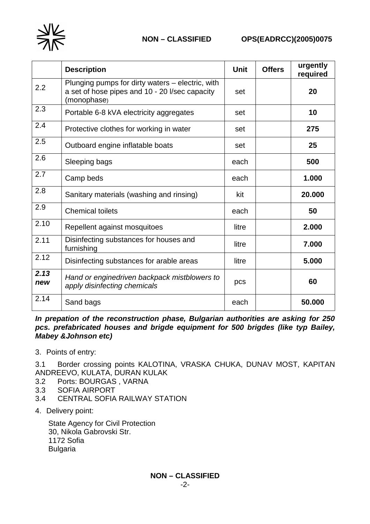

|             | <b>Description</b>                                                                                                | <b>Unit</b> | <b>Offers</b> | urgently<br>required |
|-------------|-------------------------------------------------------------------------------------------------------------------|-------------|---------------|----------------------|
| 2.2         | Plunging pumps for dirty waters – electric, with<br>a set of hose pipes and 10 - 20 l/sec capacity<br>(monophase) | set         |               | 20                   |
| 2.3         | Portable 6-8 kVA electricity aggregates                                                                           | set         |               | 10                   |
| 2.4         | Protective clothes for working in water                                                                           | set         |               | 275                  |
| 2.5         | Outboard engine inflatable boats                                                                                  | set         |               | 25                   |
| 2.6         | Sleeping bags                                                                                                     | each        |               | 500                  |
| 2.7         | Camp beds                                                                                                         | each        |               | 1.000                |
| 2.8         | Sanitary materials (washing and rinsing)                                                                          | kit         |               | 20.000               |
| 2.9         | <b>Chemical toilets</b>                                                                                           | each        |               | 50                   |
| 2.10        | Repellent against mosquitoes                                                                                      | litre       |               | 2.000                |
| 2.11        | Disinfecting substances for houses and<br>furnishing                                                              | litre       |               | 7.000                |
| 2.12        | Disinfecting substances for arable areas                                                                          | litre       |               | 5.000                |
| 2.13<br>new | Hand or enginedriven backpack mistblowers to<br>apply disinfecting chemicals                                      | pcs         |               | 60                   |
| 2.14        | Sand bags                                                                                                         | each        |               | 50.000               |

*In prepation of the reconstruction phase, Bulgarian authorities are asking for 250 pcs. prefabricated houses and brigde equipment for 500 brigdes (like typ Bailey, Mabey &Johnson etc)* 

3. Points of entry:

3.1 Border crossing points KALOTINA, VRASKA CHUKA, DUNAV MOST, KAPITAN ANDREEVO, KULATA, DURAN KULAK

- 3.2 Ports: BOURGAS , VARNA
- 3.3 SOFIA AIRPORT
- 3.4 CENTRAL SOFIA RAILWAY STATION
- 4. Delivery point:

State Agency for Civil Protection 30, Nikola Gabrovski Str. 1172 Sofia Bulgaria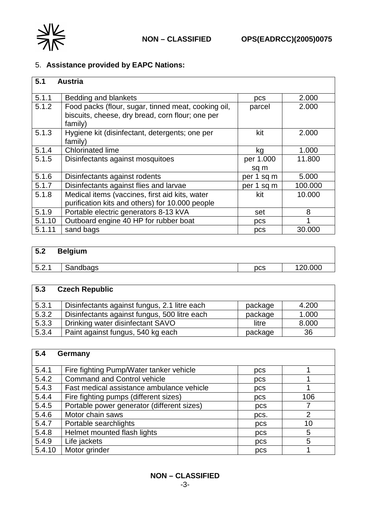

# 5. **Assistance provided by EAPC Nations:**

| 5.1    | <b>Austria</b>                                                                                                     |                   |         |
|--------|--------------------------------------------------------------------------------------------------------------------|-------------------|---------|
| 5.1.1  | Bedding and blankets                                                                                               | pcs               | 2.000   |
| 5.1.2  | Food packs (flour, sugar, tinned meat, cooking oil,<br>biscuits, cheese, dry bread, corn flour; one per<br>family) | parcel            | 2.000   |
| 5.1.3  | Hygiene kit (disinfectant, detergents; one per<br>family)                                                          | kit               | 2.000   |
| 5.1.4  | <b>Chlorinated lime</b>                                                                                            | kg                | 1.000   |
| 5.1.5  | Disinfectants against mosquitoes                                                                                   | per 1.000<br>sq m | 11.800  |
| 5.1.6  | Disinfectants against rodents                                                                                      | per 1 sq m        | 5.000   |
| 5.1.7  | Disinfectants against flies and larvae                                                                             | per 1 sq m        | 100.000 |
| 5.1.8  | Medical items (vaccines, first aid kits, water<br>purification kits and others) for 10.000 people                  | kit               | 10.000  |
| 5.1.9  | Portable electric generators 8-13 kVA                                                                              | set               | 8       |
| 5.1.10 | Outboard engine 40 HP for rubber boat                                                                              | pcs               |         |
| 5.1.11 | sand bags                                                                                                          | pcs               | 30.000  |

| 5.2   | <b>Belgium</b> |            |         |
|-------|----------------|------------|---------|
| 5.2.1 | Sandbags       | <b>DCS</b> | 120.000 |

| 5.3   | <b>Czech Republic</b>                        |         |       |
|-------|----------------------------------------------|---------|-------|
| 5.3.1 | Disinfectants against fungus, 2.1 litre each | package | 4.200 |
| 5.3.2 | Disinfectants against fungus, 500 litre each | package | 1.000 |
| 5.3.3 | Drinking water disinfectant SAVO             | litre   | 8.000 |
| 5.3.4 | Paint against fungus, 540 kg each            | package | 36    |

| 5.4    | Germany                                    |      |                |
|--------|--------------------------------------------|------|----------------|
| 5.4.1  | Fire fighting Pump/Water tanker vehicle    | pcs  |                |
| 5.4.2  | <b>Command and Control vehicle</b>         | pcs  |                |
| 5.4.3  | Fast medical assistance ambulance vehicle  | pcs  |                |
| 5.4.4  | Fire fighting pumps (different sizes)      | pcs  | 106            |
| 5.4.5  | Portable power generator (different sizes) | pcs  |                |
| 5.4.6  | Motor chain saws                           | pcs. | $\overline{2}$ |
| 5.4.7  | Portable searchlights                      | pcs  | 10             |
| 5.4.8  | Helmet mounted flash lights                | pcs  | 5              |
| 5.4.9  | Life jackets                               | pcs  | 5              |
| 5.4.10 | Motor grinder                              | pcs  |                |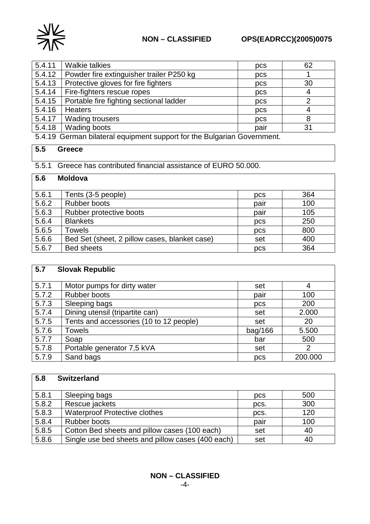

| 5.4.11 | <b>Walkie talkies</b>                    | pcs  | 62 |
|--------|------------------------------------------|------|----|
| 5.4.12 | Powder fire extinguisher trailer P250 kg | pcs  |    |
| 5.4.13 | Protective gloves for fire fighters      | pcs  | 30 |
| 5.4.14 | Fire-fighters rescue ropes               | pcs  | 4  |
| 5.4.15 | Portable fire fighting sectional ladder  | pcs  | ⌒  |
| 5.4.16 | <b>Heaters</b>                           | pcs  | 4  |
| 5.4.17 | <b>Wading trousers</b>                   | pcs  | 8  |
| 5.4.18 | Wading boots                             | pair | 31 |
|        |                                          |      |    |

5.4.19 German bilateral equipment support for the Bulgarian Government.

# **5.5 Greece**

5.5.1 Greece has contributed financial assistance of EURO 50.000.

# **5.6 Moldova**

| 5.6.1 | Tents (3-5 people)                            | pcs  | 364 |
|-------|-----------------------------------------------|------|-----|
| 5.6.2 | Rubber boots                                  | pair | 100 |
| 5.6.3 | Rubber protective boots                       | pair | 105 |
| 5.6.4 | <b>Blankets</b>                               | pcs  | 250 |
| 5.6.5 | Towels                                        | pcs  | 800 |
| 5.6.6 | Bed Set (sheet, 2 pillow cases, blanket case) | set  | 400 |
| 5.6.7 | <b>Bed sheets</b>                             | pcs  | 364 |

| 5.7   | <b>Slovak Republic</b>                  |         |         |
|-------|-----------------------------------------|---------|---------|
|       |                                         |         |         |
| 5.7.1 | Motor pumps for dirty water             | set     | 4       |
| 5.7.2 | <b>Rubber boots</b>                     | pair    | 100     |
| 5.7.3 | Sleeping bags                           | pcs     | 200     |
| 5.7.4 | Dining utensil (tripartite can)         | set     | 2.000   |
| 5.7.5 | Tents and accessories (10 to 12 people) | set     | 20      |
| 5.7.6 | <b>Towels</b>                           | bag/166 | 5.500   |
| 5.7.7 | Soap                                    | bar     | 500     |
| 5.7.8 | Portable generator 7,5 kVA              | set     | 2       |
| 5.7.9 | Sand bags                               | pcs     | 200.000 |

| 5.8   | <b>Switzerland</b>                                |      |     |  |  |
|-------|---------------------------------------------------|------|-----|--|--|
| 5.8.1 | Sleeping bags                                     | pcs  | 500 |  |  |
| 5.8.2 | Rescue jackets                                    | pcs. | 300 |  |  |
| 5.8.3 | <b>Waterproof Protective clothes</b>              | pcs. | 120 |  |  |
| 5.8.4 | Rubber boots                                      | pair | 100 |  |  |
| 5.8.5 | Cotton Bed sheets and pillow cases (100 each)     | set  | 40  |  |  |
| 5.8.6 | Single use bed sheets and pillow cases (400 each) | set  | 40  |  |  |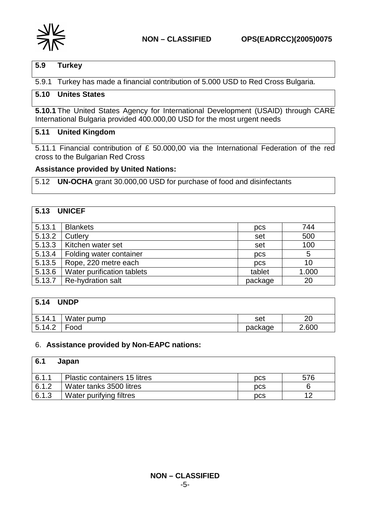

# **5.9 Turkey**

5.9.1 Turkey has made a financial contribution of 5.000 USD to Red Cross Bulgaria.

# **5.10 Unites States**

**5.10.1** The United States Agency for International Development (USAID) through CARE International Bulgaria provided 400.000,00 USD for the most urgent needs

### **5.11 United Kingdom**

5.11.1 Financial contribution of £ 50.000,00 via the International Federation of the red cross to the Bulgarian Red Cross

#### **Assistance provided by United Nations:**

5.12 **UN-OCHA** grant 30.000,00 USD for purchase of food and disinfectants

| 5.13   | <b>UNICEF</b>              |         |       |
|--------|----------------------------|---------|-------|
| 5.13.1 | <b>Blankets</b>            | pcs     | 744   |
| 5.13.2 | Cutlery                    | set     | 500   |
| 5.13.3 | Kitchen water set          | set     | 100   |
| 5.13.4 | Folding water container    | pcs     | 5     |
| 5.13.5 | Rope, 220 metre each       | pcs     | 10    |
| 5.13.6 | Water purification tablets | tablet  | 1.000 |
| 5.13.7 | Re-hydration salt          | package | 20    |

| 5.14<br><b>UNDP</b> |            |         |       |
|---------------------|------------|---------|-------|
| 5.14.1              | Water pump | set     | 20    |
| 5.14.2              | Food       | package | 2.600 |

#### 6. **Assistance provided by Non-EAPC nations:**

| 6.1   | Japan                               |            |     |
|-------|-------------------------------------|------------|-----|
| 6.1.1 | <b>Plastic containers 15 litres</b> | <b>DCS</b> | 576 |
| 6.1.2 | Water tanks 3500 litres             | <b>DCS</b> |     |
| 6.1.3 | Water purifying filtres             | <b>DCS</b> | 10  |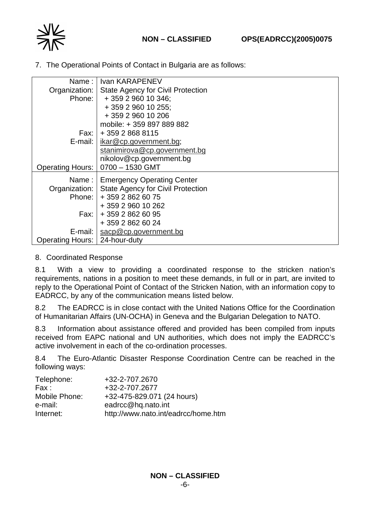

7. The Operational Points of Contact in Bulgaria are as follows:

|                                 | Name: I Ivan KARAPENEV                            |
|---------------------------------|---------------------------------------------------|
|                                 | Organization:   State Agency for Civil Protection |
| Phone:                          | + 359 2 960 10 346;                               |
|                                 | + 359 2 960 10 255;                               |
|                                 | + 359 2 960 10 206                                |
|                                 | mobile: +359 897 889 882                          |
|                                 | Fax:   + 359 2 868 8115                           |
| $E$ -mail: $\vert$              | ikar@cp.government.bg;                            |
|                                 | stanimirova@cp.government.bg                      |
|                                 | nikolov@cp.government.bg                          |
| <b>Operating Hours:</b>         | 0700 - 1530 GMT                                   |
|                                 | Name:   Emergency Operating Center                |
|                                 | Organization:   State Agency for Civil Protection |
|                                 | Phone: 1 + 359 2 862 60 75                        |
|                                 | +359 2960 10 262                                  |
|                                 |                                                   |
| Fax: I                          | +359 2862 60 95                                   |
|                                 | + 359 2 862 60 24                                 |
|                                 | E-mail: $\frac{1}{3}$ sacp@cp.government.bg       |
| Operating Hours:   24-hour-duty |                                                   |

### 8. Coordinated Response

8.1 With a view to providing a coordinated response to the stricken nation's requirements, nations in a position to meet these demands, in full or in part, are invited to reply to the Operational Point of Contact of the Stricken Nation, with an information copy to EADRCC, by any of the communication means listed below.

8.2 The EADRCC is in close contact with the United Nations Office for the Coordination of Humanitarian Affairs (UN-OCHA) in Geneva and the Bulgarian Delegation to NATO.

8.3 Information about assistance offered and provided has been compiled from inputs received from EAPC national and UN authorities, which does not imply the EADRCC's active involvement in each of the co-ordination processes.

8.4 The Euro-Atlantic Disaster Response Coordination Centre can be reached in the following ways:

| Telephone:    | +32-2-707.2670                      |
|---------------|-------------------------------------|
| Fax :         | +32-2-707.2677                      |
| Mobile Phone: | +32-475-829.071 (24 hours)          |
| e-mail:       | eadrcc@hq.nato.int                  |
| Internet:     | http://www.nato.int/eadrcc/home.htm |